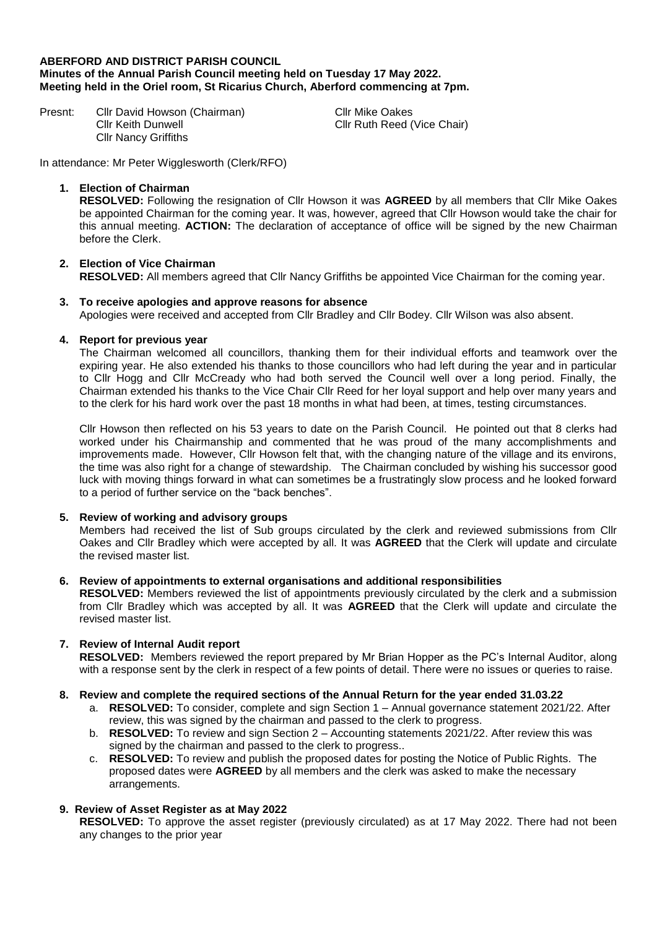## **ABERFORD AND DISTRICT PARISH COUNCIL Minutes of the Annual Parish Council meeting held on Tuesday 17 May 2022. Meeting held in the Oriel room, St Ricarius Church, Aberford commencing at 7pm.**

Presnt: Cllr David Howson (Chairman) Cllr Keith Dunwell Cllr Nancy Griffiths

Cllr Mike Oakes Cllr Ruth Reed (Vice Chair)

In attendance: Mr Peter Wigglesworth (Clerk/RFO)

## **1. Election of Chairman**

**RESOLVED:** Following the resignation of Cllr Howson it was **AGREED** by all members that Cllr Mike Oakes be appointed Chairman for the coming year. It was, however, agreed that Cllr Howson would take the chair for this annual meeting. **ACTION:** The declaration of acceptance of office will be signed by the new Chairman before the Clerk.

# **2. Election of Vice Chairman**

**RESOLVED:** All members agreed that Cllr Nancy Griffiths be appointed Vice Chairman for the coming year.

## **3. To receive apologies and approve reasons for absence**

Apologies were received and accepted from Cllr Bradley and Cllr Bodey. Cllr Wilson was also absent.

### **4. Report for previous year**

The Chairman welcomed all councillors, thanking them for their individual efforts and teamwork over the expiring year. He also extended his thanks to those councillors who had left during the year and in particular to Cllr Hogg and Cllr McCready who had both served the Council well over a long period. Finally, the Chairman extended his thanks to the Vice Chair Cllr Reed for her loyal support and help over many years and to the clerk for his hard work over the past 18 months in what had been, at times, testing circumstances.

Cllr Howson then reflected on his 53 years to date on the Parish Council. He pointed out that 8 clerks had worked under his Chairmanship and commented that he was proud of the many accomplishments and improvements made. However, Cllr Howson felt that, with the changing nature of the village and its environs, the time was also right for a change of stewardship. The Chairman concluded by wishing his successor good luck with moving things forward in what can sometimes be a frustratingly slow process and he looked forward to a period of further service on the "back benches".

## **5. Review of working and advisory groups**

Members had received the list of Sub groups circulated by the clerk and reviewed submissions from Cllr Oakes and Cllr Bradley which were accepted by all. It was **AGREED** that the Clerk will update and circulate the revised master list.

### **6. Review of appointments to external organisations and additional responsibilities**

**RESOLVED:** Members reviewed the list of appointments previously circulated by the clerk and a submission from Cllr Bradley which was accepted by all. It was **AGREED** that the Clerk will update and circulate the revised master list.

## **7. Review of Internal Audit report**

**RESOLVED:** Members reviewed the report prepared by Mr Brian Hopper as the PC's Internal Auditor, along with a response sent by the clerk in respect of a few points of detail. There were no issues or queries to raise.

### **8. Review and complete the required sections of the Annual Return for the year ended 31.03.22**

- a. **RESOLVED:** To consider, complete and sign Section 1 Annual governance statement 2021/22. After review, this was signed by the chairman and passed to the clerk to progress.
- b. **RESOLVED:** To review and sign Section 2 Accounting statements 2021/22. After review this was signed by the chairman and passed to the clerk to progress..
- c. **RESOLVED:** To review and publish the proposed dates for posting the Notice of Public Rights. The proposed dates were **AGREED** by all members and the clerk was asked to make the necessary arrangements.

## **9. Review of Asset Register as at May 2022**

**RESOLVED:** To approve the asset register (previously circulated) as at 17 May 2022. There had not been any changes to the prior year